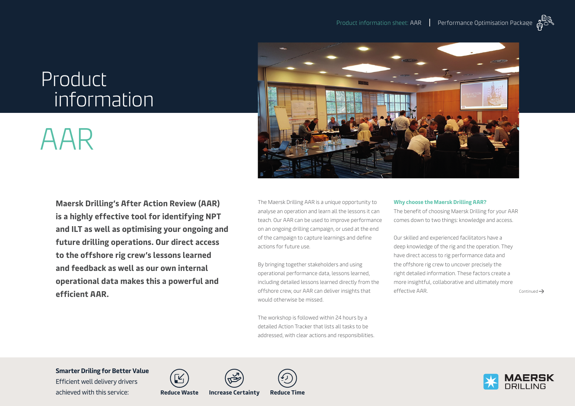## Product information

# AAR

**Maersk Drilling's After Action Review (AAR) is a highly effective tool for identifying NPT and ILT as well as optimising your ongoing and future drilling operations. Our direct access to the offshore rig crew's lessons learned and feedback as well as our own internal operational data makes this a powerful and efficient AAR.**



The Maersk Drilling AAR is a unique opportunity to analyse an operation and learn all the lessons it can teach. Our AAR can be used to improve performance on an ongoing drilling campaign, or used at the end of the campaign to capture learnings and define actions for future use.

By bringing together stakeholders and using operational performance data, lessons learned, including detailed lessons learned directly from the offshore crew, our AAR can deliver insights that would otherwise be missed.

The workshop is followed within 24 hours by a detailed Action Tracker that lists all tasks to be addressed, with clear actions and responsibilities.

#### **Why choose the Maersk Drilling AAR?**

The benefit of choosing Maersk Drilling for your AAR comes down to two things: knowledge and access.

Our skilled and experienced facilitators have a deep knowledge of the rig and the operation. They have direct access to rig performance data and the offshore rig crew to uncover precisely the right detailed information. These factors create a more insightful, collaborative and ultimately more  $\text{effective AAR.}$   $\qquad \qquad \text{Continued} \rightarrow$ 

**Smarter Driling for Better Value** 

Efficient well delivery drivers achieved with this service: **Reduce Waste Increase Certainty Reduce Time**